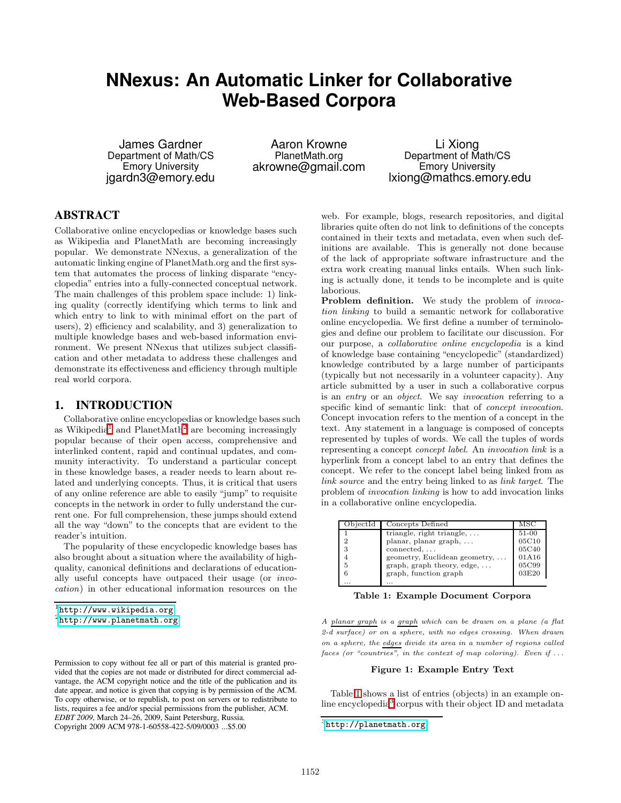# NNexus: An Automatic Linker for Collaborative Web-Based Corpora

James Gardner Department of Math/CS Emory University jgardn3@emory.edu

Aaron Krowne PlanetMath.org akrowne@gmail.com

Li Xiong Department of Math/CS Emory University lxiong@mathcs.emory.edu

# ABSTRACT

Collaborative online encyclopedias or knowledge bases such as Wikipedia and PlanetMath are becoming increasingly popular. We demonstrate NNexus, a generalization of the automatic linking engine of PlanetMath.org and the first system that automates the process of linking disparate "encyclopedia" entries into a fully-connected conceptual network. The main challenges of this problem space include: 1) linking quality (correctly identifying which terms to link and which entry to link to with minimal effort on the part of users), 2) efficiency and scalability, and 3) generalization to multiple knowledge bases and web-based information environment. We present NNexus that utilizes subject classification and other metadata to address these challenges and demonstrate its effectiveness and efficiency through multiple real world corpora.

### <span id="page-0-2"></span>1. INTRODUCTION

Collaborative online encyclopedias or knowledge bases such as Wikipedia<sup>[1](#page-0-0)</sup> and PlanetMath<sup>[2](#page-0-1)</sup> are becoming increasingly popular because of their open access, comprehensive and interlinked content, rapid and continual updates, and community interactivity. To understand a particular concept in these knowledge bases, a reader needs to learn about related and underlying concepts. Thus, it is critical that users of any online reference are able to easily "jump" to requisite concepts in the network in order to fully understand the current one. For full comprehension, these jumps should extend all the way "down" to the concepts that are evident to the reader's intuition.

The popularity of these encyclopedic knowledge bases has also brought about a situation where the availability of highquality, canonical definitions and declarations of educationally useful concepts have outpaced their usage (or invocation) in other educational information resources on the

Permission to copy without fee all or part of this material is granted provided that the copies are not made or distributed for direct commercial advantage, the ACM copyright notice and the title of the publication and its date appear, and notice is given that copying is by permission of the ACM. To copy otherwise, or to republish, to post on servers or to redistribute to lists, requires a fee and/or special permissions from the publisher, ACM. EDBT 2009, March 24–26, 2009, Saint Petersburg, Russia. Copyright 2009 ACM 978-1-60558-422-5/09/0003 ...\$5.00

web. For example, blogs, research repositories, and digital libraries quite often do not link to definitions of the concepts contained in their texts and metadata, even when such definitions are available. This is generally not done because of the lack of appropriate software infrastructure and the extra work creating manual links entails. When such linking is actually done, it tends to be incomplete and is quite laborious.

Problem definition. We study the problem of *invoca*tion linking to build a semantic network for collaborative online encyclopedia. We first define a number of terminologies and define our problem to facilitate our discussion. For our purpose, a collaborative online encyclopedia is a kind of knowledge base containing "encyclopedic" (standardized) knowledge contributed by a large number of participants (typically but not necessarily in a volunteer capacity). Any article submitted by a user in such a collaborative corpus is an entry or an object. We say invocation referring to a specific kind of semantic link: that of *concept invocation*. Concept invocation refers to the mention of a concept in the text. Any statement in a language is composed of concepts represented by tuples of words. We call the tuples of words representing a concept concept label. An invocation link is a hyperlink from a concept label to an entry that defines the concept. We refer to the concept label being linked from as link source and the entry being linked to as link target. The problem of invocation linking is how to add invocation links in a collaborative online encyclopedia.

| ObjectId | Concepts Defined                   | MSC   |
|----------|------------------------------------|-------|
|          | triangle, right triangle, $\ldots$ | 51-00 |
|          | planar, planar graph,              | 05C10 |
| 3        | $connected, \ldots$                | 05C40 |
|          | geometry, Euclidean geometry,      | 01A16 |
| 5        | graph, graph theory, edge,         | 05C99 |
| 6        | graph, function graph              | 03E20 |
|          |                                    |       |

Table 1: Example Document Corpora

A planar graph is a graph which can be drawn on a plane (a flat  $2$ -d surface) or on a sphere, with no edges crossing. When drawn on a sphere, the edges divide its area in a number of regions called faces (or "countries", in the context of map coloring). Even if ...

#### <span id="page-0-4"></span>Figure 1: Example Entry Text

Table [1](#page-0-2) shows a list of entries (objects) in an example on-line encyclopedia<sup>[3](#page-0-3)</sup> corpus with their object ID and metadata

<span id="page-0-0"></span> $1$ <http://www.wikipedia.org>

<span id="page-0-1"></span><sup>2</sup> <http://www.planetmath.org>

<span id="page-0-3"></span> ${}^{3}$ <http://planetmath.org>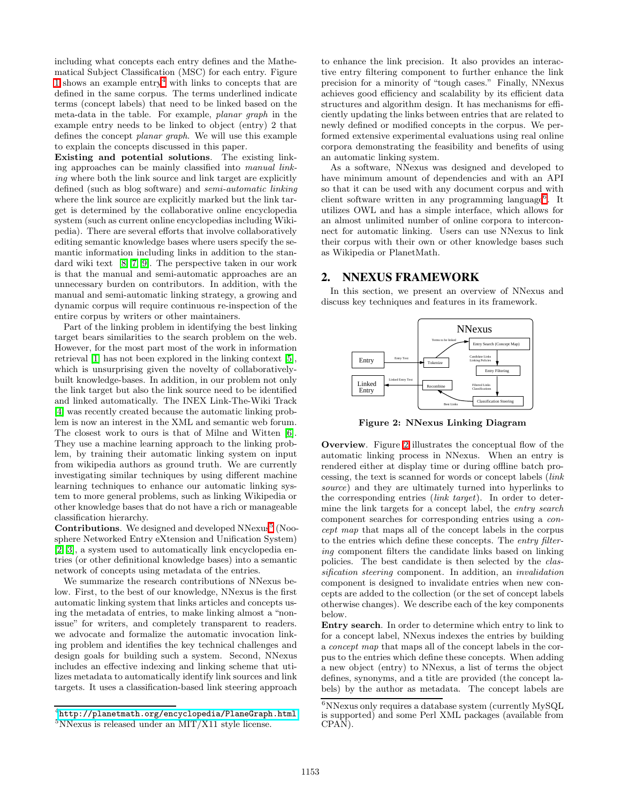including what concepts each entry defines and the Mathematical Subject Classification (MSC) for each entry. Figure [1](#page-0-4) shows an example entry<sup>[4](#page-1-0)</sup> with links to concepts that are defined in the same corpus. The terms underlined indicate terms (concept labels) that need to be linked based on the meta-data in the table. For example, planar graph in the example entry needs to be linked to object (entry) 2 that defines the concept planar graph. We will use this example to explain the concepts discussed in this paper.

Existing and potential solutions. The existing linking approaches can be mainly classified into manual linking where both the link source and link target are explicitly defined (such as blog software) and semi-automatic linking where the link source are explicitly marked but the link target is determined by the collaborative online encyclopedia system (such as current online encyclopedias including Wikipedia). There are several efforts that involve collaboratively editing semantic knowledge bases where users specify the semantic information including links in addition to the standard wiki text [\[8,](#page-3-0) [7,](#page-3-1) [9\]](#page-3-2). The perspective taken in our work is that the manual and semi-automatic approaches are an unnecessary burden on contributors. In addition, with the manual and semi-automatic linking strategy, a growing and dynamic corpus will require continuous re-inspection of the entire corpus by writers or other maintainers.

Part of the linking problem in identifying the best linking target bears similarities to the search problem on the web. However, for the most part most of the work in information retrieval [\[1\]](#page-3-3) has not been explored in the linking context [\[5\]](#page-3-4), which is unsurprising given the novelty of collaborativelybuilt knowledge-bases. In addition, in our problem not only the link target but also the link source need to be identified and linked automatically. The INEX Link-The-Wiki Track [\[4\]](#page-3-5) was recently created because the automatic linking problem is now an interest in the XML and semantic web forum. The closest work to ours is that of Milne and Witten [\[6\]](#page-3-6). They use a machine learning approach to the linking problem, by training their automatic linking system on input from wikipedia authors as ground truth. We are currently investigating similar techniques by using different machine learning techniques to enhance our automatic linking system to more general problems, such as linking Wikipedia or other knowledge bases that do not have a rich or manageable classification hierarchy.

Contributions. We designed and developed NNexus<sup>[5](#page-1-1)</sup> (Noosphere Networked Entry eXtension and Unification System) [\[2,](#page-3-7) [3\]](#page-3-8), a system used to automatically link encyclopedia entries (or other definitional knowledge bases) into a semantic network of concepts using metadata of the entries.

We summarize the research contributions of NNexus below. First, to the best of our knowledge, NNexus is the first automatic linking system that links articles and concepts using the metadata of entries, to make linking almost a "nonissue" for writers, and completely transparent to readers. we advocate and formalize the automatic invocation linking problem and identifies the key technical challenges and design goals for building such a system. Second, NNexus includes an effective indexing and linking scheme that utilizes metadata to automatically identify link sources and link targets. It uses a classification-based link steering approach to enhance the link precision. It also provides an interactive entry filtering component to further enhance the link precision for a minority of "tough cases." Finally, NNexus achieves good efficiency and scalability by its efficient data structures and algorithm design. It has mechanisms for efficiently updating the links between entries that are related to newly defined or modified concepts in the corpus. We performed extensive experimental evaluations using real online corpora demonstrating the feasibility and benefits of using an automatic linking system.

As a software, NNexus was designed and developed to have minimum amount of dependencies and with an API so that it can be used with any document corpus and with client software written in any programming language[6](#page-1-2) . It utilizes OWL and has a simple interface, which allows for an almost unlimited number of online corpora to interconnect for automatic linking. Users can use NNexus to link their corpus with their own or other knowledge bases such as Wikipedia or PlanetMath.

## 2. NNEXUS FRAMEWORK

In this section, we present an overview of NNexus and discuss key techniques and features in its framework.



<span id="page-1-3"></span>Figure 2: NNexus Linking Diagram

Overview. Figure [2](#page-1-3) illustrates the conceptual flow of the automatic linking process in NNexus. When an entry is rendered either at display time or during offline batch processing, the text is scanned for words or concept labels (link source) and they are ultimately turned into hyperlinks to the corresponding entries (link target). In order to determine the link targets for a concept label, the entry search component searches for corresponding entries using a concept map that maps all of the concept labels in the corpus to the entries which define these concepts. The entry filtering component filters the candidate links based on linking policies. The best candidate is then selected by the classification steering component. In addition, an invalidation component is designed to invalidate entries when new concepts are added to the collection (or the set of concept labels otherwise changes). We describe each of the key components below.

Entry search. In order to determine which entry to link to for a concept label, NNexus indexes the entries by building a concept map that maps all of the concept labels in the corpus to the entries which define these concepts. When adding a new object (entry) to NNexus, a list of terms the object defines, synonyms, and a title are provided (the concept labels) by the author as metadata. The concept labels are

<span id="page-1-1"></span><span id="page-1-0"></span> $^4$ <http://planetmath.org/encyclopedia/PlaneGraph.html>  $5$ NNexus is released under an MIT/X11 style license.

<span id="page-1-2"></span> ${}^{6}$ NNexus only requires a database system (currently MySQL is supported) and some Perl XML packages (available from CPAN).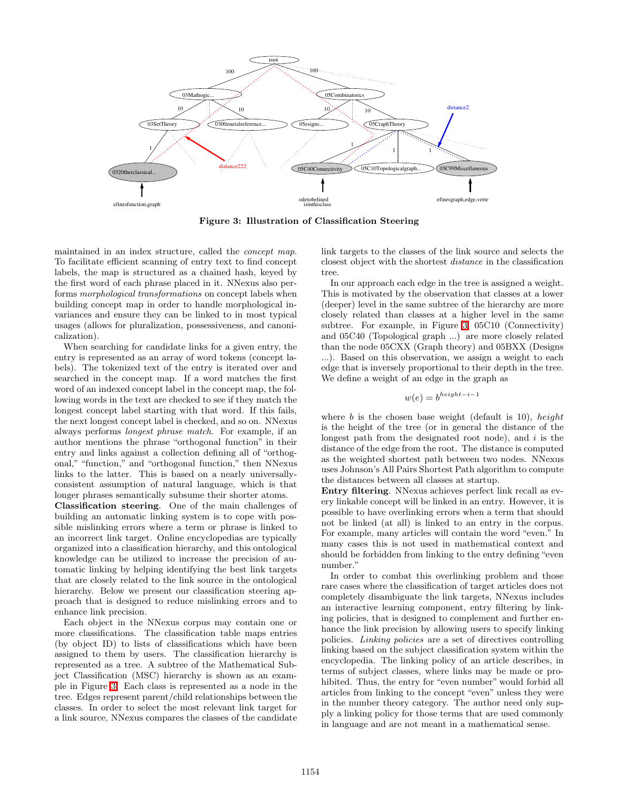

<span id="page-2-0"></span>Figure 3: Illustration of Classification Steering

maintained in an index structure, called the concept map. To facilitate efficient scanning of entry text to find concept labels, the map is structured as a chained hash, keyed by the first word of each phrase placed in it. NNexus also performs morphological transformations on concept labels when building concept map in order to handle morphological invariances and ensure they can be linked to in most typical usages (allows for pluralization, possessiveness, and canonicalization).

When searching for candidate links for a given entry, the entry is represented as an array of word tokens (concept labels). The tokenized text of the entry is iterated over and searched in the concept map. If a word matches the first word of an indexed concept label in the concept map, the following words in the text are checked to see if they match the longest concept label starting with that word. If this fails, the next longest concept label is checked, and so on. NNexus always performs longest phrase match. For example, if an author mentions the phrase "orthogonal function" in their entry and links against a collection defining all of "orthogonal," "function," and "orthogonal function," then NNexus links to the latter. This is based on a nearly universallyconsistent assumption of natural language, which is that longer phrases semantically subsume their shorter atoms.

Classification steering. One of the main challenges of building an automatic linking system is to cope with possible mislinking errors where a term or phrase is linked to an incorrect link target. Online encyclopedias are typically organized into a classification hierarchy, and this ontological knowledge can be utilized to increase the precision of automatic linking by helping identifying the best link targets that are closely related to the link source in the ontological hierarchy. Below we present our classification steering approach that is designed to reduce mislinking errors and to enhance link precision.

Each object in the NNexus corpus may contain one or more classifications. The classification table maps entries (by object ID) to lists of classifications which have been assigned to them by users. The classification hierarchy is represented as a tree. A subtree of the Mathematical Subject Classification (MSC) hierarchy is shown as an example in Figure [3.](#page-2-0) Each class is represented as a node in the tree. Edges represent parent/child relationships between the classes. In order to select the most relevant link target for a link source, NNexus compares the classes of the candidate

link targets to the classes of the link source and selects the closest object with the shortest distance in the classification tree.

In our approach each edge in the tree is assigned a weight. This is motivated by the observation that classes at a lower (deeper) level in the same subtree of the hierarchy are more closely related than classes at a higher level in the same subtree. For example, in Figure [3,](#page-2-0) 05C10 (Connectivity) and 05C40 (Topological graph ...) are more closely related than the node 05CXX (Graph theory) and 05BXX (Designs ...). Based on this observation, we assign a weight to each edge that is inversely proportional to their depth in the tree. We define a weight of an edge in the graph as

$$
w(e) = b^{height - i - 1}
$$

where  $b$  is the chosen base weight (default is 10), height is the height of the tree (or in general the distance of the longest path from the designated root node), and  $i$  is the distance of the edge from the root. The distance is computed as the weighted shortest path between two nodes. NNexus uses Johnson's All Pairs Shortest Path algorithm to compute the distances between all classes at startup.

Entry filtering. NNexus achieves perfect link recall as every linkable concept will be linked in an entry. However, it is possible to have overlinking errors when a term that should not be linked (at all) is linked to an entry in the corpus. For example, many articles will contain the word "even." In many cases this is not used in mathematical context and should be forbidden from linking to the entry defining "even number."

In order to combat this overlinking problem and those rare cases where the classification of target articles does not completely disambiguate the link targets, NNexus includes an interactive learning component, entry filtering by linking policies, that is designed to complement and further enhance the link precision by allowing users to specify linking policies. Linking policies are a set of directives controlling linking based on the subject classification system within the encyclopedia. The linking policy of an article describes, in terms of subject classes, where links may be made or prohibited. Thus, the entry for "even number" would forbid all articles from linking to the concept "even" unless they were in the number theory category. The author need only supply a linking policy for those terms that are used commonly in language and are not meant in a mathematical sense.